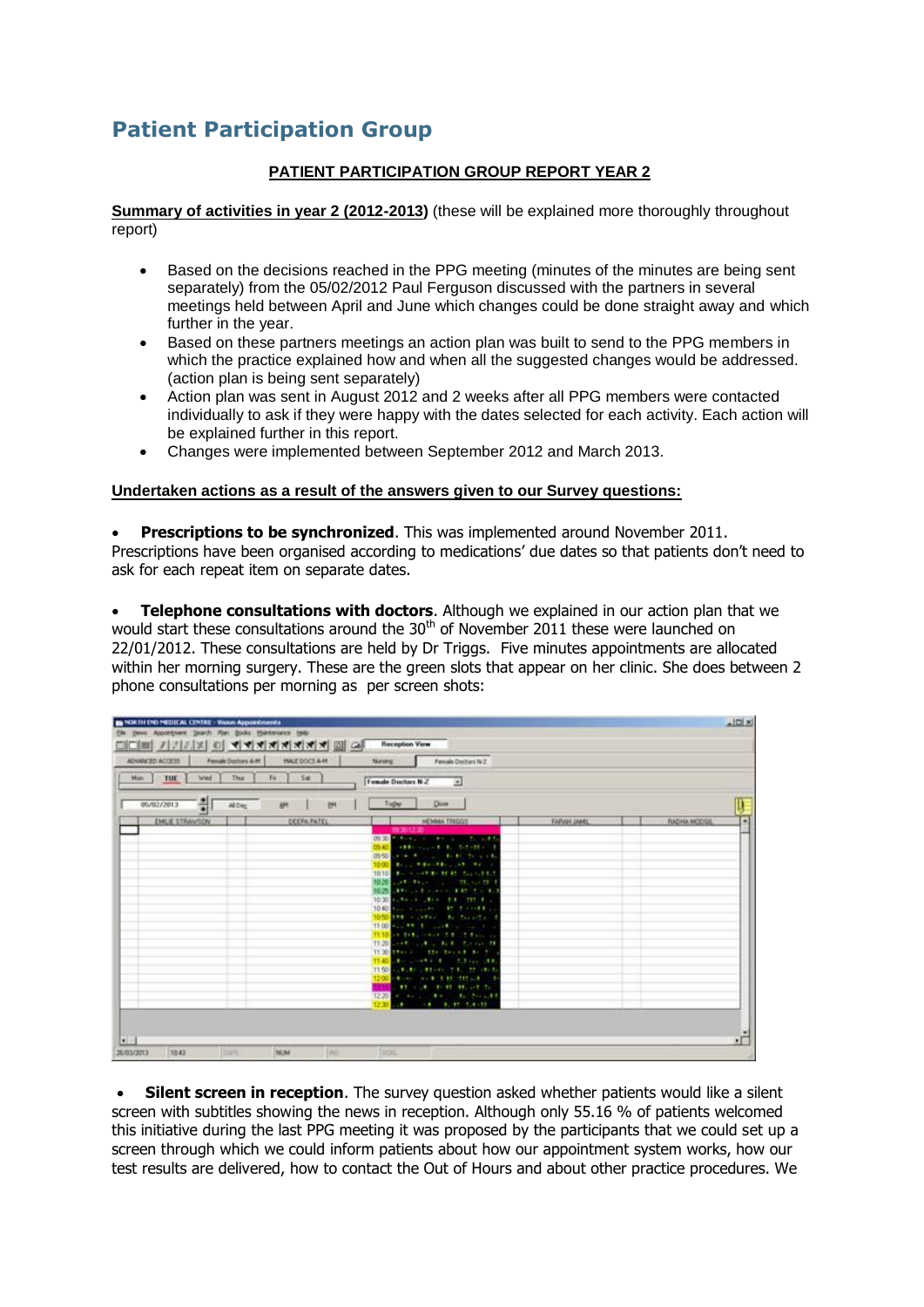# **Patient Participation Group**

## **PATIENT PARTICIPATION GROUP REPORT YEAR 2**

**Summary of activities in year 2 (2012-2013)** (these will be explained more thoroughly throughout report)

- Based on the decisions reached in the PPG meeting (minutes of the minutes are being sent separately) from the 05/02/2012 Paul Ferguson discussed with the partners in several meetings held between April and June which changes could be done straight away and which further in the year.
- Based on these partners meetings an action plan was built to send to the PPG members in which the practice explained how and when all the suggested changes would be addressed. (action plan is being sent separately)
- Action plan was sent in August 2012 and 2 weeks after all PPG members were contacted individually to ask if they were happy with the dates selected for each activity. Each action will be explained further in this report.
- Changes were implemented between September 2012 and March 2013.

#### **Undertaken actions as a result of the answers given to our Survey questions:**

 **Prescriptions to be synchronized**. This was implemented around November 2011. Prescriptions have been organised according to medications' due dates so that patients don't need to ask for each repeat item on separate dates.

 **Telephone consultations with doctors**. Although we explained in our action plan that we would start these consultations around the 30<sup>th</sup> of November 2011 these were launched on 22/01/2012. These consultations are held by Dr Triggs. Five minutes appointments are allocated within her morning surgery. These are the green slots that appear on her clinic. She does between 2 phone consultations per morning as per screen shots:

| ADVANCED ACCESS<br>Fensale Doctors A-M<br>'Wed<br>Thus.<br>Man  <br>TUL | <b><i>PALE DOCS A-M</i></b><br>Fu 5M | Nummar - Fense Doctors N.Z.<br>Female Doctors N-Z [8]                                                                                                                                                                                                                                                                                                                                                                                                                                                                                                                                                                                                                                                                                                                                                                                                                                  |                    |                    |
|-------------------------------------------------------------------------|--------------------------------------|----------------------------------------------------------------------------------------------------------------------------------------------------------------------------------------------------------------------------------------------------------------------------------------------------------------------------------------------------------------------------------------------------------------------------------------------------------------------------------------------------------------------------------------------------------------------------------------------------------------------------------------------------------------------------------------------------------------------------------------------------------------------------------------------------------------------------------------------------------------------------------------|--------------------|--------------------|
| 펢<br>05/02/2013<br>All Dieg<br><b>AM</b>                                | <b>YON</b>                           | Dow  <br>Today                                                                                                                                                                                                                                                                                                                                                                                                                                                                                                                                                                                                                                                                                                                                                                                                                                                                         |                    |                    |
| EMUE STRAWSON                                                           | DEEPA PATEL                          | <b>HEMAN TRIGGS</b><br>09/03/12 00:<br>09:30 A MONTH CAN A CAN A WAY AN A LATER<br>0940 (1999) (1999) (1999) (1999) (1999) (1999) (1999) (1999) (1999) (1999) (1999) (1999) (1999) (1999) (1999) (1999) (1999) (1999) (1999) (1999) (1999) (1999) (1999) (1999) (1999) (1999) (1999) (1999) (1999) (1999) (1999)<br>0950 Lynn R. L. L. B. B. L. Lynn<br>1000 B. L. P. L. PRICER LTD. PERSON<br>1010 8-11 -- 12 11 11 -- 12 13<br>10.20 State Page 2010 State Party<br>10歳 110  1  111 1<br>10:40 (200) (201) (201) (201) (201) (201)<br>1050 104 - Safah A. Sarah .<br>11:00 ALL ## (# 0.14# 1) (0.00 ALL)<br>11:10 on total color 2.8 of fine in<br>19:20 --- 10 and 10 distributed<br>11:00 two : the beach as the<br>11:50 - 11:50 - \$1.00 T.E. 11:00 E<br>1200   British   Av B   E BE   EELLE   C.B<br>a service contract contracts<br>12-20 A. House, M. Book, Bank Street, 8-8 | <b>TARAH JAMIL</b> | <b>RADHA MODGE</b> |

 **Silent screen in reception**. The survey question asked whether patients would like a silent screen with subtitles showing the news in reception. Although only 55.16 % of patients welcomed this initiative during the last PPG meeting it was proposed by the participants that we could set up a screen through which we could inform patients about how our appointment system works, how our test results are delivered, how to contact the Out of Hours and about other practice procedures. We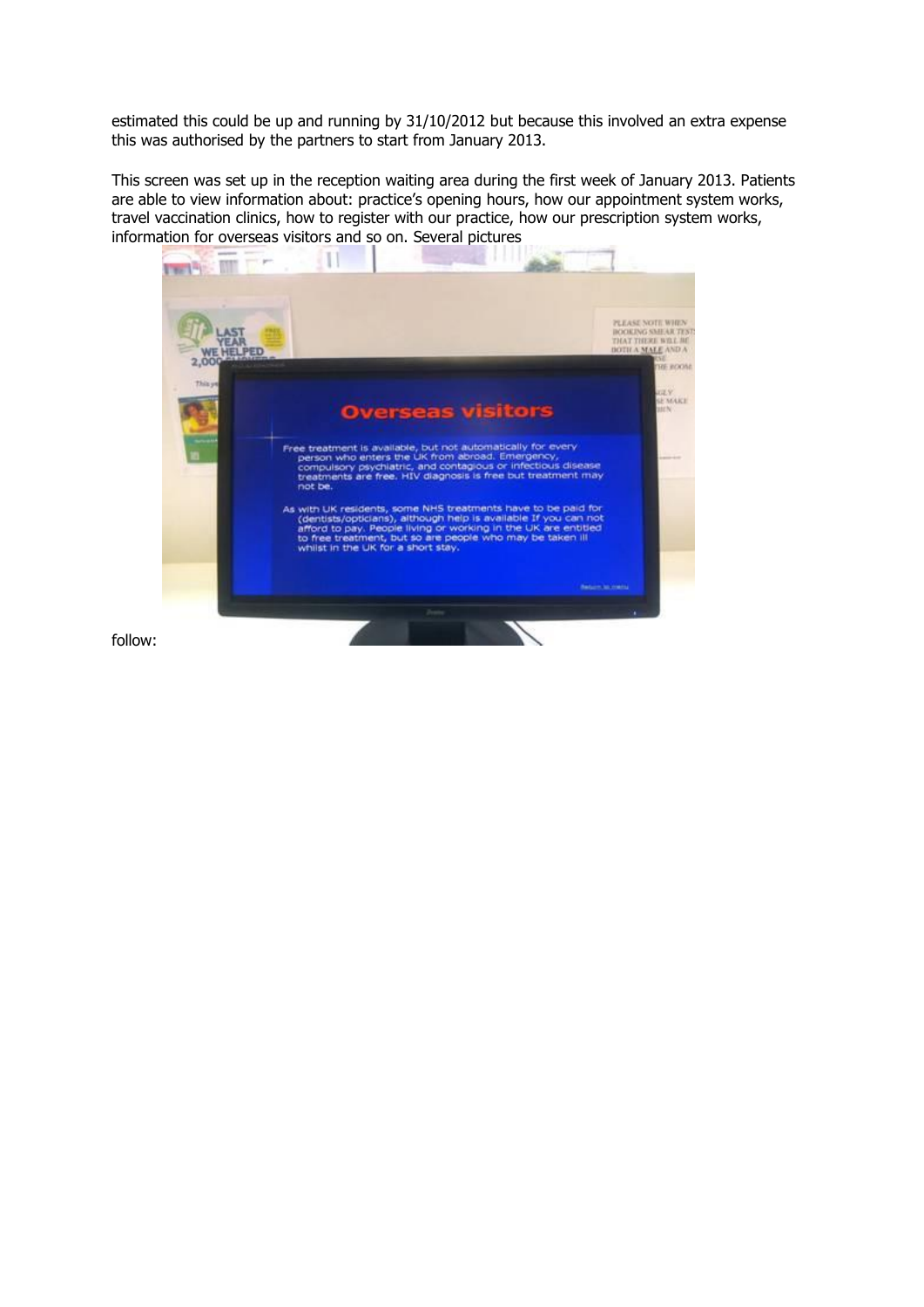estimated this could be up and running by 31/10/2012 but because this involved an extra expense this was authorised by the partners to start from January 2013.

This screen was set up in the reception waiting area during the first week of January 2013. Patients are able to view information about: practice's opening hours, how our appointment system works, travel vaccination clinics, how to register with our practice, how our prescription system works, information for overseas visitors and so on. Several pictures



follow: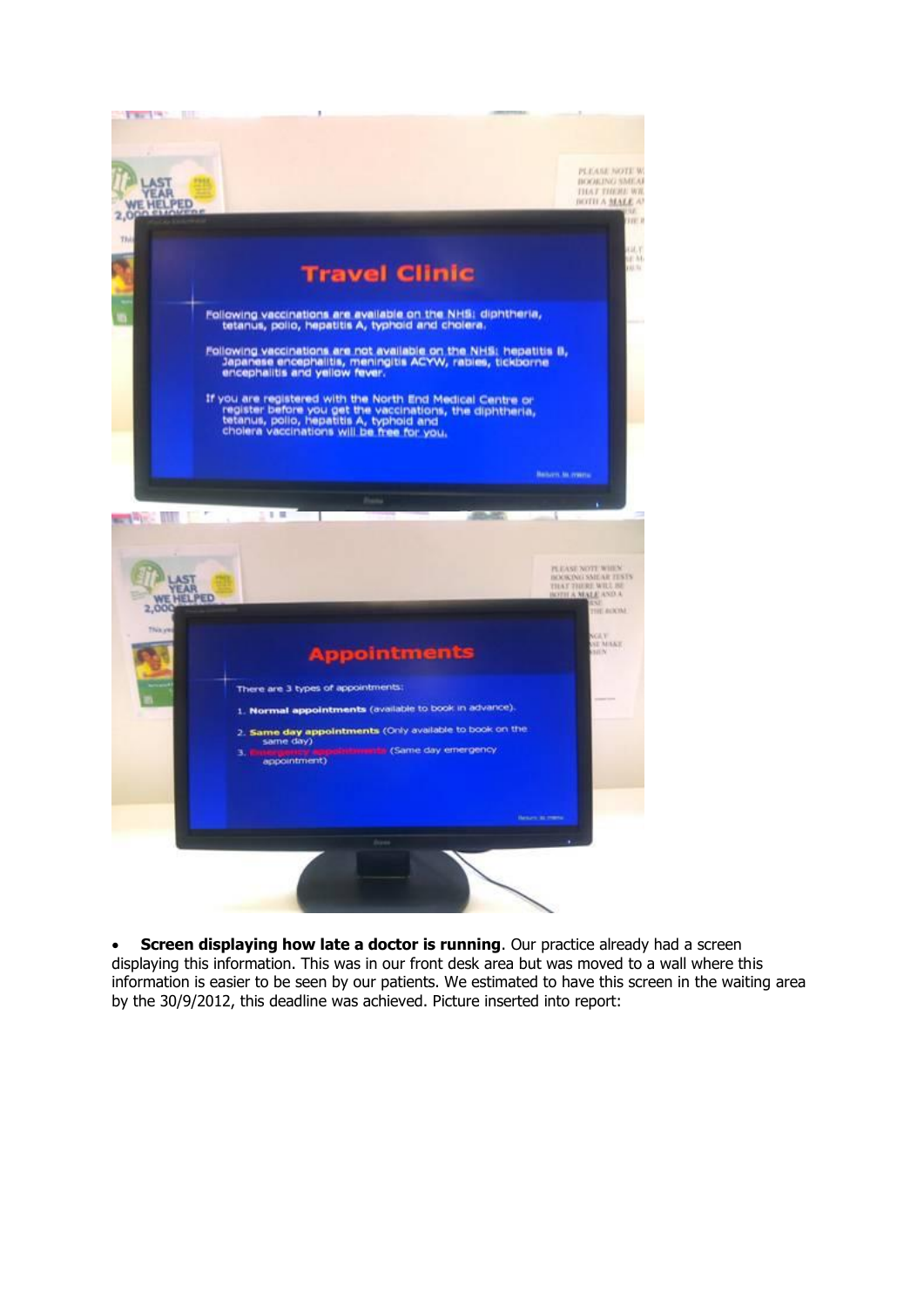

**Screen displaying how late a doctor is running**. Our practice already had a screen displaying this information. This was in our front desk area but was moved to a wall where this information is easier to be seen by our patients. We estimated to have this screen in the waiting area by the 30/9/2012, this deadline was achieved. Picture inserted into report: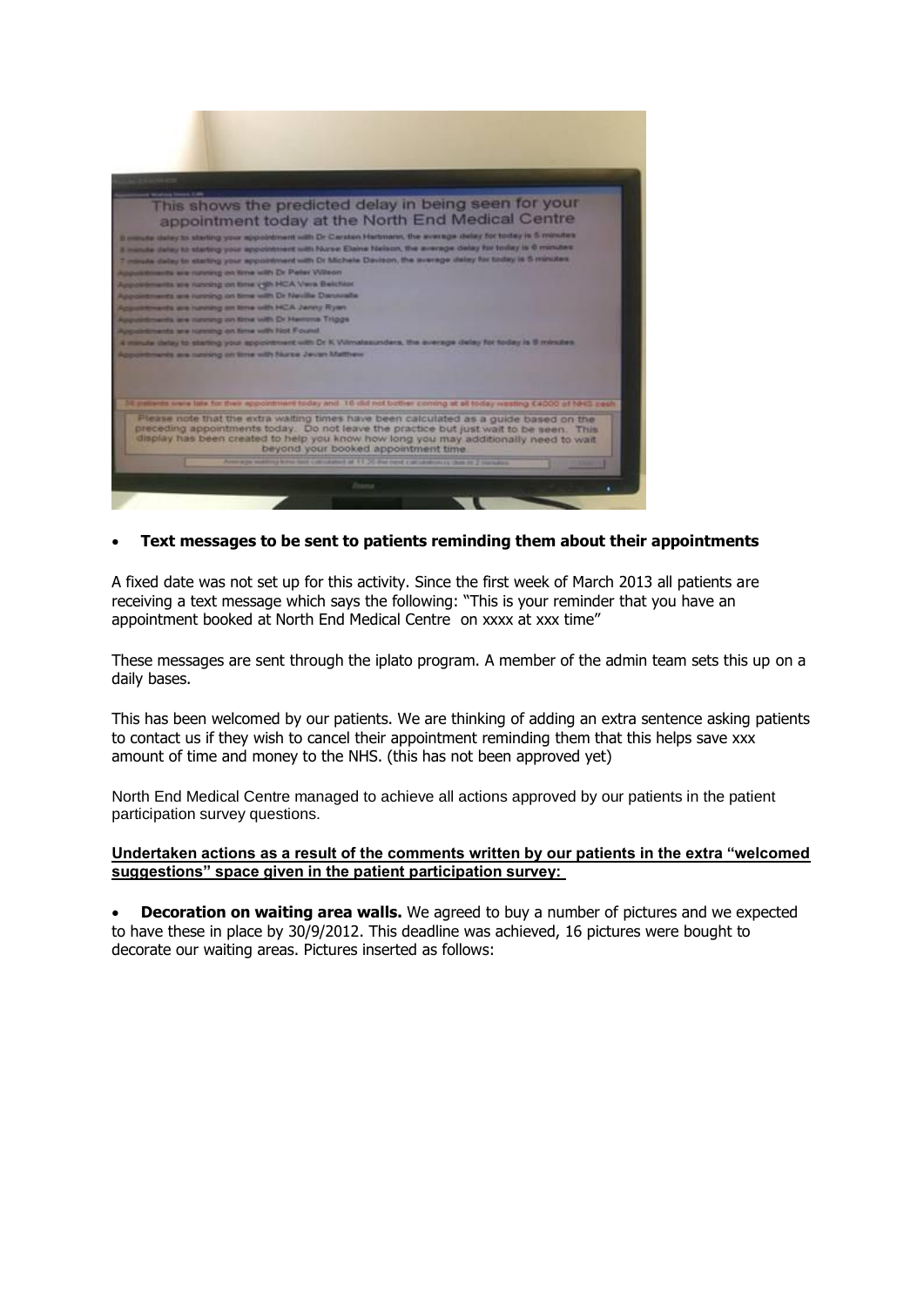

### **Text messages to be sent to patients reminding them about their appointments**

A fixed date was not set up for this activity. Since the first week of March 2013 all patients are receiving a text message which says the following: "This is your reminder that you have an appointment booked at North End Medical Centre on xxxx at xxx time"

These messages are sent through the iplato program. A member of the admin team sets this up on a daily bases.

This has been welcomed by our patients. We are thinking of adding an extra sentence asking patients to contact us if they wish to cancel their appointment reminding them that this helps save xxx amount of time and money to the NHS. (this has not been approved yet)

North End Medical Centre managed to achieve all actions approved by our patients in the patient participation survey questions.

#### **Undertaken actions as a result of the comments written by our patients in the extra "welcomed suggestions" space given in the patient participation survey:**

 **Decoration on waiting area walls.** We agreed to buy a number of pictures and we expected to have these in place by 30/9/2012. This deadline was achieved, 16 pictures were bought to decorate our waiting areas. Pictures inserted as follows: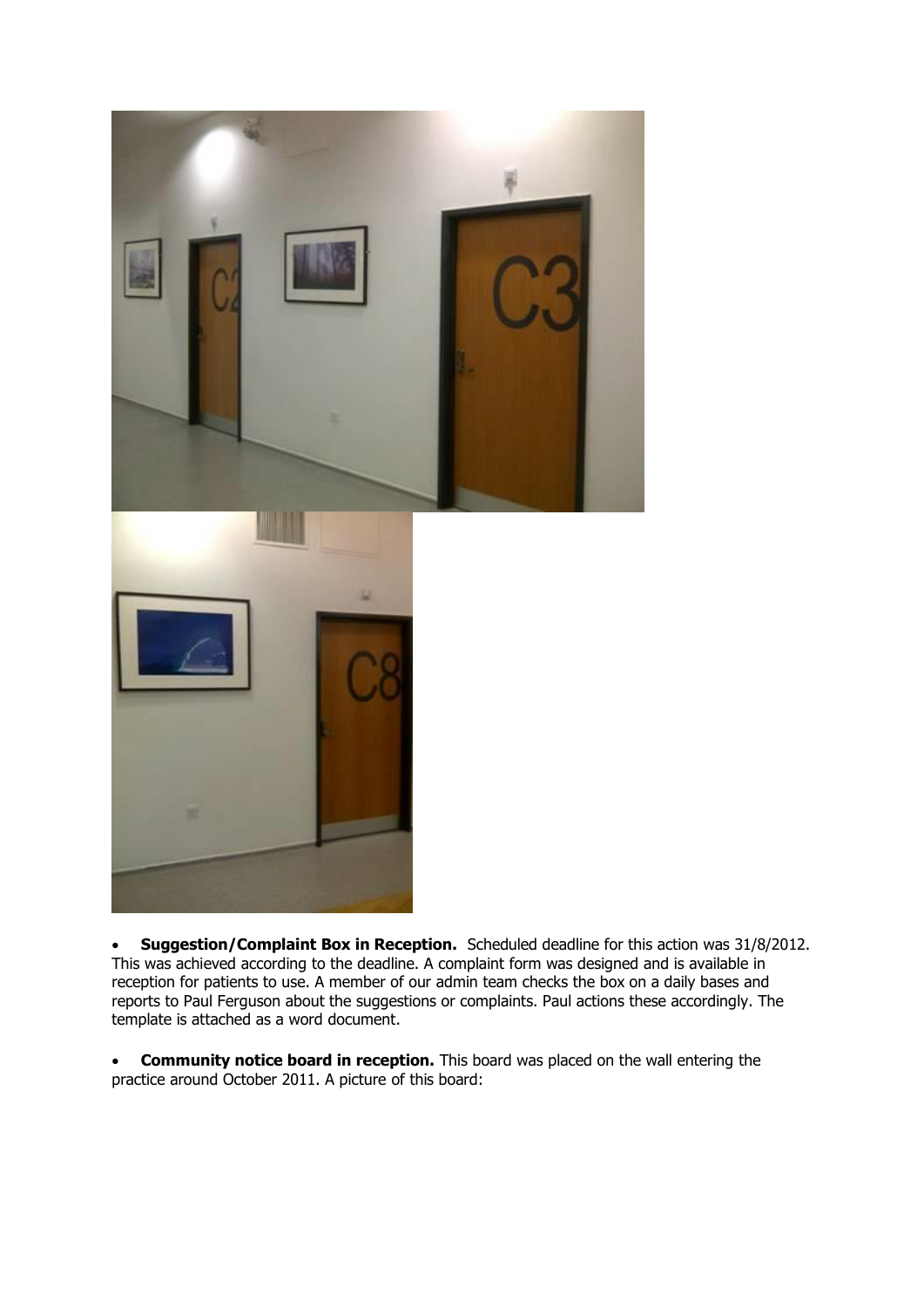

 **Suggestion/Complaint Box in Reception.** Scheduled deadline for this action was 31/8/2012. This was achieved according to the deadline. A complaint form was designed and is available in reception for patients to use. A member of our admin team checks the box on a daily bases and reports to Paul Ferguson about the suggestions or complaints. Paul actions these accordingly. The template is attached as a word document.

 **Community notice board in reception.** This board was placed on the wall entering the practice around October 2011. A picture of this board: